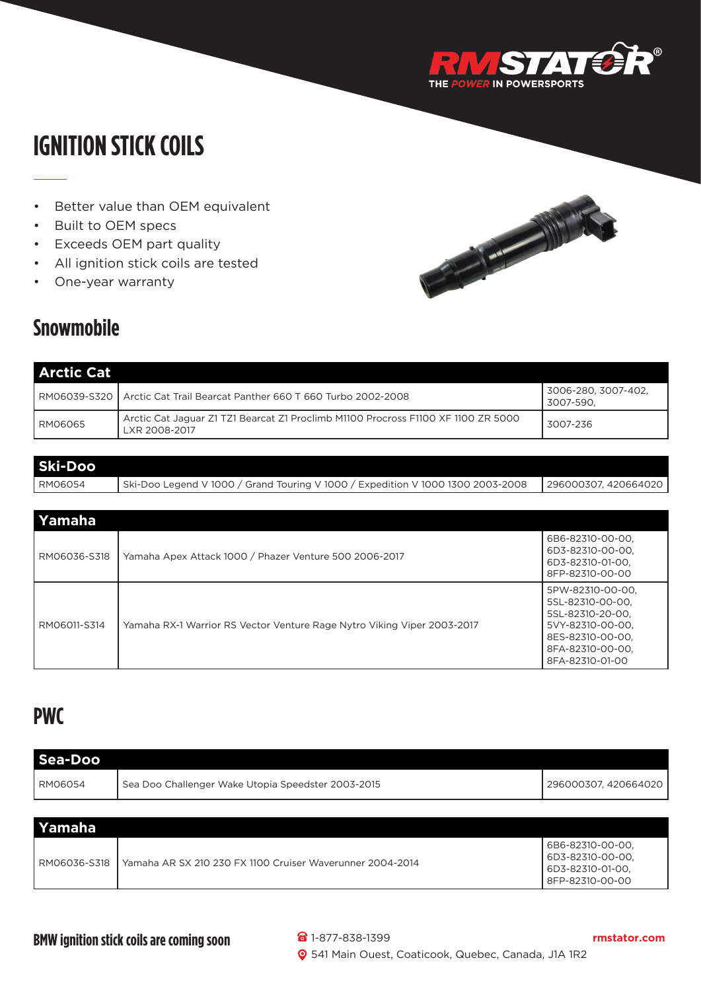

## **IGNITION STICK COILS**

- Better value than OEM equivalent
- Built to OEM specs
- Exceeds OEM part quality
- All ignition stick coils are tested
- One-year warranty

## **Snowmobile**

| <b>Arctic Cat</b> |                                                                                                    |                                  |
|-------------------|----------------------------------------------------------------------------------------------------|----------------------------------|
|                   | RM06039-S320   Arctic Cat Trail Bearcat Panther 660 T 660 Turbo 2002-2008                          | 3006-280. 3007-402.<br>3007-590. |
| RM06065           | Arctic Cat Jaguar Z1 TZ1 Bearcat Z1 Proclimb M1100 Procross F1100 XF 1100 ZR 5000<br>LXR 2008-2017 | 3007-236                         |

| Ski-Doo |                                                                                 |                      |
|---------|---------------------------------------------------------------------------------|----------------------|
| RM06054 | Ski-Doo Legend V 1000 / Grand Touring V 1000 / Expedition V 1000 1300 2003-2008 | 296000307, 420664020 |

| Yamaha       |                                                                         |                                                                                                                                         |
|--------------|-------------------------------------------------------------------------|-----------------------------------------------------------------------------------------------------------------------------------------|
| RM06036-S318 | Yamaha Apex Attack 1000 / Phazer Venture 500 2006-2017                  | 6B6-82310-00-00,<br>6D3-82310-00-00.<br>6D3-82310-01-00.<br>8FP-82310-00-00                                                             |
| RM06011-S314 | Yamaha RX-1 Warrior RS Vector Venture Rage Nytro Viking Viper 2003-2017 | 5PW-82310-00-00.<br>5SL-82310-00-00.<br>5SL-82310-20-00.<br>5VY-82310-00-00.<br>8ES-82310-00-00.<br>8FA-82310-00-00,<br>8FA-82310-01-00 |

## **PWC**

| Sea-Doo      |                                                           |                                                                             |  |
|--------------|-----------------------------------------------------------|-----------------------------------------------------------------------------|--|
| l RM06054    | Sea Doo Challenger Wake Utopia Speedster 2003-2015        | 296000307, 420664020                                                        |  |
|              |                                                           |                                                                             |  |
| Yamaha       |                                                           |                                                                             |  |
| RM06036-S318 | Yamaha AR SX 210 230 FX 1100 Cruiser Waverunner 2004-2014 | 6B6-82310-00-00.<br>6D3-82310-00-00.<br>6D3-82310-01-00,<br>8FP-82310-00-00 |  |